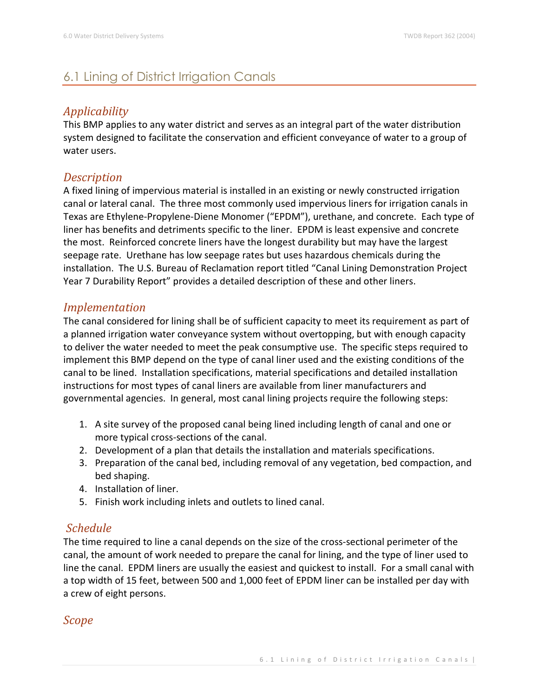# 6.1 Lining of District Irrigation Canals

### *Applicability*

This BMP applies to any water district and serves as an integral part of the water distribution system designed to facilitate the conservation and efficient conveyance of water to a group of water users.

#### *Description*

A fixed lining of impervious material is installed in an existing or newly constructed irrigation canal or lateral canal. The three most commonly used impervious liners for irrigation canals in Texas are Ethylene-Propylene-Diene Monomer ("EPDM"), urethane, and concrete. Each type of liner has benefits and detriments specific to the liner. EPDM is least expensive and concrete the most. Reinforced concrete liners have the longest durability but may have the largest seepage rate. Urethane has low seepage rates but uses hazardous chemicals during the installation. The U.S. Bureau of Reclamation report titled "Canal Lining Demonstration Project Year 7 Durability Report" provides a detailed description of these and other liners.

#### *Implementation*

The canal considered for lining shall be of sufficient capacity to meet its requirement as part of a planned irrigation water conveyance system without overtopping, but with enough capacity to deliver the water needed to meet the peak consumptive use. The specific steps required to implement this BMP depend on the type of canal liner used and the existing conditions of the canal to be lined. Installation specifications, material specifications and detailed installation instructions for most types of canal liners are available from liner manufacturers and governmental agencies. In general, most canal lining projects require the following steps:

- 1. A site survey of the proposed canal being lined including length of canal and one or more typical cross-sections of the canal.
- 2. Development of a plan that details the installation and materials specifications.
- 3. Preparation of the canal bed, including removal of any vegetation, bed compaction, and bed shaping.
- 4. Installation of liner.
- 5. Finish work including inlets and outlets to lined canal.

### *Schedule*

The time required to line a canal depends on the size of the cross-sectional perimeter of the canal, the amount of work needed to prepare the canal for lining, and the type of liner used to line the canal. EPDM liners are usually the easiest and quickest to install. For a small canal with a top width of 15 feet, between 500 and 1,000 feet of EPDM liner can be installed per day with a crew of eight persons.

*Scope*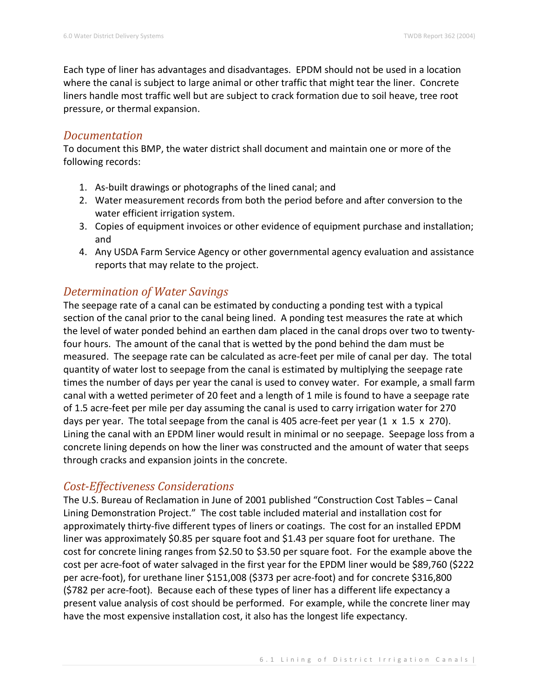Each type of liner has advantages and disadvantages. EPDM should not be used in a location where the canal is subject to large animal or other traffic that might tear the liner. Concrete liners handle most traffic well but are subject to crack formation due to soil heave, tree root pressure, or thermal expansion.

#### *Documentation*

To document this BMP, the water district shall document and maintain one or more of the following records:

- 1. As-built drawings or photographs of the lined canal; and
- 2. Water measurement records from both the period before and after conversion to the water efficient irrigation system.
- 3. Copies of equipment invoices or other evidence of equipment purchase and installation; and
- 4. Any USDA Farm Service Agency or other governmental agency evaluation and assistance reports that may relate to the project.

## *Determination of Water Savings*

The seepage rate of a canal can be estimated by conducting a ponding test with a typical section of the canal prior to the canal being lined. A ponding test measures the rate at which the level of water ponded behind an earthen dam placed in the canal drops over two to twentyfour hours. The amount of the canal that is wetted by the pond behind the dam must be measured. The seepage rate can be calculated as acre-feet per mile of canal per day. The total quantity of water lost to seepage from the canal is estimated by multiplying the seepage rate times the number of days per year the canal is used to convey water. For example, a small farm canal with a wetted perimeter of 20 feet and a length of 1 mile is found to have a seepage rate of 1.5 acre-feet per mile per day assuming the canal is used to carry irrigation water for 270 days per year. The total seepage from the canal is 405 acre-feet per year (1 x 1.5 x 270). Lining the canal with an EPDM liner would result in minimal or no seepage. Seepage loss from a concrete lining depends on how the liner was constructed and the amount of water that seeps through cracks and expansion joints in the concrete.

### *Cost-Effectiveness Considerations*

The U.S. Bureau of Reclamation in June of 2001 published "Construction Cost Tables – Canal Lining Demonstration Project." The cost table included material and installation cost for approximately thirty-five different types of liners or coatings. The cost for an installed EPDM liner was approximately \$0.85 per square foot and \$1.43 per square foot for urethane. The cost for concrete lining ranges from \$2.50 to \$3.50 per square foot. For the example above the cost per acre-foot of water salvaged in the first year for the EPDM liner would be \$89,760 (\$222 per acre-foot), for urethane liner \$151,008 (\$373 per acre-foot) and for concrete \$316,800 (\$782 per acre-foot). Because each of these types of liner has a different life expectancy a present value analysis of cost should be performed. For example, while the concrete liner may have the most expensive installation cost, it also has the longest life expectancy.